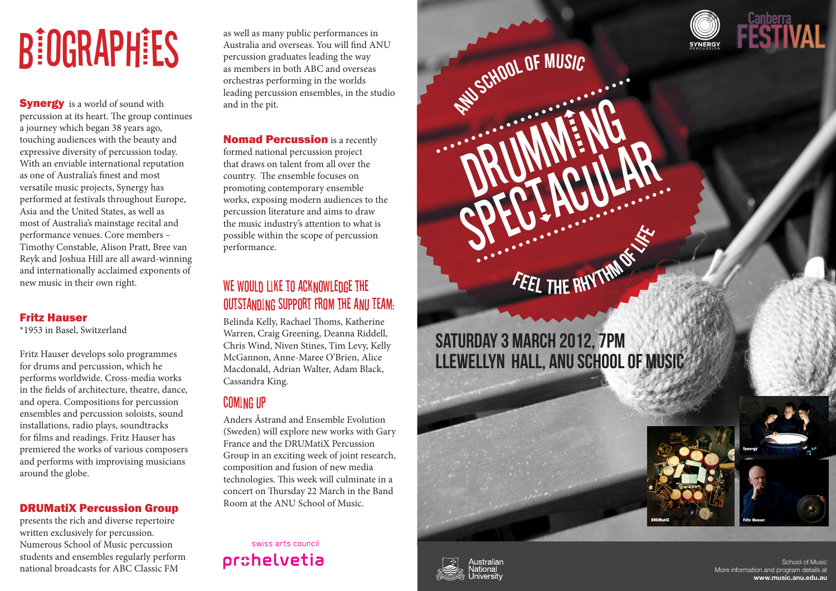# **BIOGRAPHIES** as well as many public performances in Australia and overseas. You will find AN percussion graduates leading the way

**Synergy** is a world of sound with percussion at its heart. The group continues a journey which began 38 years ago, touching audiences with the beauty and expressive diversity of percussion today. With an enviable international reputation as one of Australia's finest and most versatile music projects, Synergy has performed at festivals throughout Europe, Asia and the United States, as well as most of Australia's mainstage recital and performance venues. Core members – Timothy Constable, Alison Pratt, Bree van Reyk and Joshua Hill are all award-winning and internationally acclaimed exponents of new music in their own right.

#### Fritz Hauser

\*1953 in Basel, Switzerland

Fritz Hauser develops solo programmes for drums and percussion, which he performs worldwide. Cross-media works in the fields of architecture, theatre, dance, and opera. Compositions for percussion ensembles and percussion soloists, sound installations, radio plays, soundtracks for films and readings. Fritz Hauser has premiered the works of various composers and performs with improvising musicians around the globe.

#### DRUMatiX Percussion Group

presents the rich and diverse repertoire written exclusively for percussion. Numerous School of Music percussion students and ensembles regularly perform national broadcasts for ABC Classic FM

Australia and overseas. You will find ANU percussion graduates leading the way as members in both ABC and overseas orchestras performing in the worlds leading percussion ensembles, in the studio and in the pit.

**Nomad Percussion** is a recently formed national percussion project that draws on talent from all over the country. The ensemble focuses on promoting contemporary ensemble works, exposing modern audiences to the percussion literature and aims to draw the music industry's attention to what is possible within the scope of percussion performance.

#### WE WOULD LIKE TO ACKNOWLEDGE THE outstanding support from the ANU Team:

Belinda Kelly, Rachael Thoms, Katherine Warren, Craig Greening, Deanna Riddell, Chris Wind, Niven Stines, Tim Levy, Kelly McGannon, Anne-Maree O'Brien, Alice Macdonald, Adrian Walter, Adam Black, Cassandra King.

#### Coming Up

Anders Åstrand and Ensemble Evolution (Sweden) will explore new works with Gary France and the DRUMatiX Percussion Group in an exciting week of joint research, composition and fusion of new media technologies. This week will culminate in a concert on Thursday 22 March in the Band Room at the ANU School of Music.

swiss arts council orchelvetia





School of Music More information and program details at **www.music.anu.edu.au**